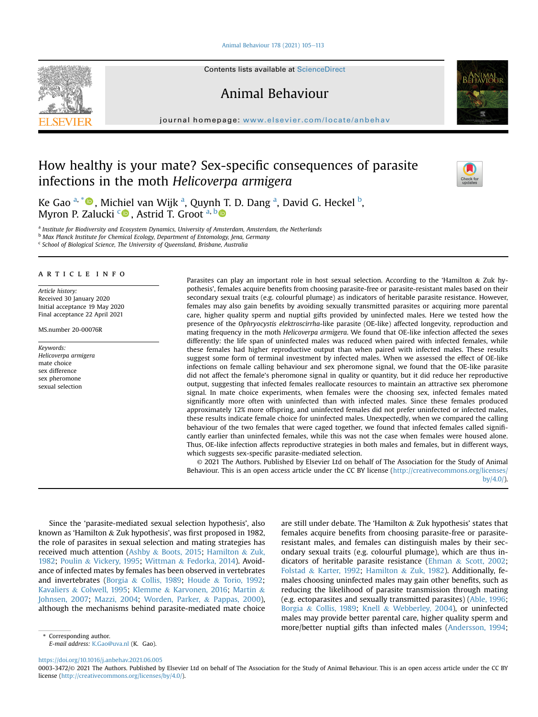[Animal Behaviour 178 \(2021\) 105](https://doi.org/10.1016/j.anbehav.2021.06.005)-[113](https://doi.org/10.1016/j.anbehav.2021.06.005)



Contents lists available at ScienceDirect

Animal Behaviour

journal homepage: [www.elsevier.com/locate/anbehav](http://www.elsevier.com/locate/anbehav)

# How healthy is your mate? Sex-specific consequences of parasite infections in the moth Helicoverpa armigera



Ke G[a](#page-0-0)o <sup>a, [\\*](#page-0-1)</sup>®, Michiel van Wijk <sup>a</sup>, Quynh T. D. Dang <sup>a</sup>, David G. Heckel <sup>[b](#page-0-2)</sup>, Myron P. Zalu[c](#page-0-3)ki <sup>c</sup> , Astrid T. Groot [a](#page-0-0), [b](#page-0-2)

<span id="page-0-0"></span><sup>a</sup> Institute for Biodiversity and Ecosystem Dynamics, University of Amsterdam, Amsterdam, the Netherlands

<span id="page-0-2"></span><sup>b</sup> Max Planck Institute for Chemical Ecology, Department of Entomology, Jena, Germany

<span id="page-0-3"></span> $c$  School of Biological Science, The University of Queensland, Brisbane, Australia

# article info

Article history: Received 30 January 2020 Initial acceptance 19 May 2020 Final acceptance 22 April 2021

MS.number 20-00076R

Keywords: Helicoverpa armigera mate choice sex difference sex pheromone sexual selection

Parasites can play an important role in host sexual selection. According to the 'Hamilton & Zuk hypothesis', females acquire benefits from choosing parasite-free or parasite-resistant males based on their secondary sexual traits (e.g. colourful plumage) as indicators of heritable parasite resistance. However, females may also gain benefits by avoiding sexually transmitted parasites or acquiring more parental care, higher quality sperm and nuptial gifts provided by uninfected males. Here we tested how the presence of the Ophryocystis elektroscirrha-like parasite (OE-like) affected longevity, reproduction and mating frequency in the moth Helicoverpa armigera. We found that OE-like infection affected the sexes differently: the life span of uninfected males was reduced when paired with infected females, while these females had higher reproductive output than when paired with infected males. These results suggest some form of terminal investment by infected males. When we assessed the effect of OE-like infections on female calling behaviour and sex pheromone signal, we found that the OE-like parasite did not affect the female's pheromone signal in quality or quantity, but it did reduce her reproductive output, suggesting that infected females reallocate resources to maintain an attractive sex pheromone signal. In mate choice experiments, when females were the choosing sex, infected females mated significantly more often with uninfected than with infected males. Since these females produced approximately 12% more offspring, and uninfected females did not prefer uninfected or infected males, these results indicate female choice for uninfected males. Unexpectedly, when we compared the calling behaviour of the two females that were caged together, we found that infected females called significantly earlier than uninfected females, while this was not the case when females were housed alone. Thus, OE-like infection affects reproductive strategies in both males and females, but in different ways, which suggests sex-specific parasite-mediated selection.

© 2021 The Authors. Published by Elsevier Ltd on behalf of The Association for the Study of Animal Behaviour. This is an open access article under the CC BY license [\(http://creativecommons.org/licenses/](http://creativecommons.org/licenses/by/4.0/) [by/4.0/](http://creativecommons.org/licenses/by/4.0/)).

Since the 'parasite-mediated sexual selection hypothesis', also known as 'Hamilton & Zuk hypothesis', was first proposed in 1982, the role of parasites in sexual selection and mating strategies has received much attention ([Ashby](#page-7-0) & [Boots, 2015](#page-7-0); [Hamilton](#page-7-1) & [Zuk,](#page-7-1) [1982;](#page-7-1) [Poulin](#page-8-0) & [Vickery, 1995;](#page-8-0) [Wittman](#page-8-1) & [Fedorka, 2014\)](#page-8-1). Avoidance of infected mates by females has been observed in vertebrates and invertebrates ([Borgia](#page-7-2) & [Collis, 1989;](#page-7-2) [Houde](#page-7-3) & [Torio, 1992;](#page-7-3) [Kavaliers](#page-7-4) & [Colwell, 1995](#page-7-4); [Klemme](#page-7-5) & [Karvonen, 2016;](#page-7-5) [Martin](#page-7-6) & [Johnsen, 2007;](#page-7-6) [Mazzi, 2004;](#page-7-7) [Worden, Parker,](#page-8-2) & [Pappas, 2000\)](#page-8-2), although the mechanisms behind parasite-mediated mate choice are still under debate. The 'Hamilton & Zuk hypothesis' states that females acquire benefits from choosing parasite-free or parasiteresistant males, and females can distinguish males by their secondary sexual traits (e.g. colourful plumage), which are thus indicators of heritable parasite resistance [\(Ehman](#page-7-8) & [Scott, 2002;](#page-7-8) [Folstad](#page-7-9) & [Karter, 1992;](#page-7-9) [Hamilton](#page-7-1) & [Zuk, 1982](#page-7-1)). Additionally, females choosing uninfected males may gain other benefits, such as reducing the likelihood of parasite transmission through mating (e.g. ectoparasites and sexually transmitted parasites) [\(Able, 1996;](#page-6-0) [Borgia](#page-7-2) & [Collis, 1989](#page-7-2); [Knell](#page-7-10) & [Webberley, 2004](#page-7-10)), or uninfected males may provide better parental care, higher quality sperm and more/better nuptial gifts than infected males [\(Andersson, 1994;](#page-7-11)

<https://doi.org/10.1016/j.anbehav.2021.06.005>

<span id="page-0-1"></span>Corresponding author. E-mail address: [K.Gao@uva.nl](mailto:K.Gao@uva.nl) (K. Gao).

<sup>0003-3472/</sup>© 2021 The Authors. Published by Elsevier Ltd on behalf of The Association for the Study of Animal Behaviour. This is an open access article under the CC BY license ([http://creativecommons.org/licenses/by/4.0/\)](http://creativecommons.org/licenses/by/4.0/).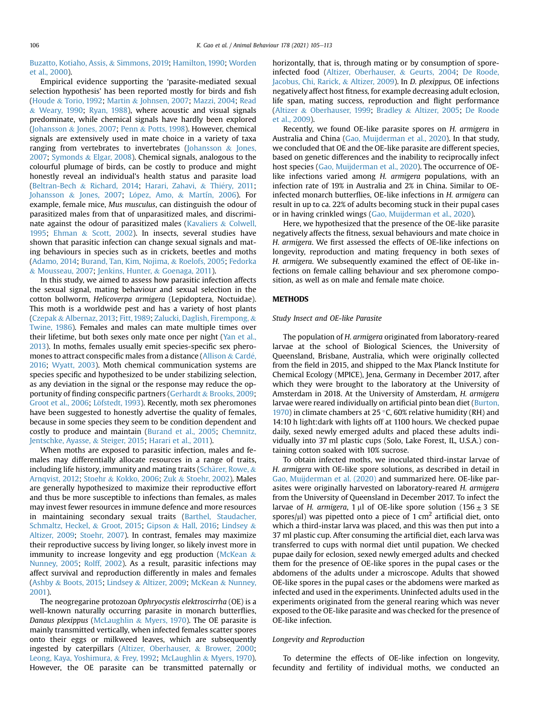[Buzatto, Kotiaho, Assis,](#page-7-12) & [Simmons, 2019;](#page-7-12) [Hamilton, 1990;](#page-7-13) [Worden](#page-8-2) [et al., 2000](#page-8-2)).

Empirical evidence supporting the 'parasite-mediated sexual selection hypothesis' has been reported mostly for birds and fish ([Houde](#page-7-3) & [Torio, 1992](#page-7-3); [Martin](#page-7-6) & [Johnsen, 2007;](#page-7-6) [Mazzi, 2004](#page-7-7); [Read](#page-8-3) & [Weary, 1990;](#page-8-3) [Ryan, 1988](#page-8-4)), where acoustic and visual signals predominate, while chemical signals have hardly been explored ([Johansson](#page-7-14) & [Jones, 2007;](#page-7-14) [Penn](#page-8-5) & [Potts, 1998](#page-8-5)). However, chemical signals are extensively used in mate choice in a variety of taxa ranging from vertebrates to invertebrates [\(Johansson](#page-7-14)  $\&$  [Jones,](#page-7-14) [2007;](#page-7-14) [Symonds](#page-8-6) & [Elgar, 2008\)](#page-8-6). Chemical signals, analogous to the colourful plumage of birds, can be costly to produce and might honestly reveal an individual's health status and parasite load ([Beltran-Bech](#page-7-15) & [Richard, 2014](#page-7-15); [Harari, Zahavi,](#page-7-16) & Thiéry, 2011; [Johansson](#page-7-14) & [Jones, 2007;](#page-7-14) [L](#page-7-17)ó[pez, Amo,](#page-7-17) & [Martín, 2006](#page-7-17)). For example, female mice, Mus musculus, can distinguish the odour of parasitized males from that of unparasitized males, and discriminate against the odour of parasitized males [\(Kavaliers](#page-7-4) & [Colwell,](#page-7-4) [1995](#page-7-4); [Ehman](#page-7-8) & [Scott, 2002](#page-7-8)). In insects, several studies have shown that parasitic infection can change sexual signals and mating behaviours in species such as in crickets, beetles and moths ([Adamo, 2014;](#page-6-1) [Burand, Tan, Kim, Nojima,](#page-7-18) & [Roelofs, 2005;](#page-7-18) [Fedorka](#page-7-19) & [Mousseau, 2007](#page-7-19); [Jenkins, Hunter,](#page-7-20) & [Goenaga, 2011\)](#page-7-20).

In this study, we aimed to assess how parasitic infection affects the sexual signal, mating behaviour and sexual selection in the cotton bollworm, Helicoverpa armigera (Lepidoptera, Noctuidae). This moth is a worldwide pest and has a variety of host plants ([Czepak](#page-7-21) & [Albernaz, 2013;](#page-7-21) [Fitt, 1989](#page-7-22); [Zalucki, Daglish, Firempong,](#page-8-7) & [Twine, 1986\)](#page-8-7). Females and males can mate multiple times over their lifetime, but both sexes only mate once per night [\(Yan et al.,](#page-8-8) [2013](#page-8-8)). In moths, females usually emit species-specific sex pheromones to attract conspecific males from a distance ([Allison](#page-6-2) & [Carde,](#page-6-2) [2016](#page-6-2); [Wyatt, 2003\)](#page-8-9). Moth chemical communication systems are species specific and hypothesized to be under stabilizing selection, as any deviation in the signal or the response may reduce the opportunity of finding conspecific partners [\(Gerhardt](#page-7-23) & [Brooks, 2009](#page-7-23); [Groot et al., 2006](#page-7-24); Löfstedt, 1993). Recently, moth sex pheromones have been suggested to honestly advertise the quality of females, because in some species they seem to be condition dependent and costly to produce and maintain [\(Burand et al., 2005](#page-7-18); [Chemnitz,](#page-7-26) [Jentschke, Ayasse,](#page-7-26) & [Steiger, 2015;](#page-7-26) [Harari et al., 2011\)](#page-7-16).

When moths are exposed to parasitic infection, males and females may differentially allocate resources in a range of traits, including life history, immunity and mating traits [\(Sch](#page-8-10)ä[rer, Rowe,](#page-8-10)  $\&$ [Arnqvist, 2012;](#page-8-10) [Stoehr](#page-8-11) & [Kokko, 2006;](#page-8-11) [Zuk](#page-8-12) & [Stoehr, 2002](#page-8-12)). Males are generally hypothesized to maximize their reproductive effort and thus be more susceptible to infections than females, as males may invest fewer resources in immune defence and more resources in maintaining secondary sexual traits ([Barthel, Staudacher,](#page-7-27) [Schmaltz, Heckel,](#page-7-27) & [Groot, 2015;](#page-7-27) [Gipson](#page-7-28) & [Hall, 2016;](#page-7-28) [Lindsey](#page-7-29) & [Altizer, 2009](#page-7-29); [Stoehr, 2007\)](#page-8-13). In contrast, females may maximize their reproductive success by living longer, so likely invest more in immunity to increase longevity and egg production [\(McKean](#page-7-30)  $\&$ [Nunney, 2005;](#page-7-30) [Rolff, 2002](#page-8-14)). As a result, parasitic infections may affect survival and reproduction differently in males and females ([Ashby](#page-7-0) & [Boots, 2015](#page-7-0); [Lindsey](#page-7-29) & [Altizer, 2009](#page-7-29); [McKean](#page-7-31) & [Nunney,](#page-7-31) [2001\)](#page-7-31).

The neogregarine protozoan Ophryocystis elektroscirrha (OE) is a well-known naturally occurring parasite in monarch butterflies, Danaus plexippus ([McLaughlin](#page-8-15) & [Myers, 1970](#page-8-15)). The OE parasite is mainly transmitted vertically, when infected females scatter spores onto their eggs or milkweed leaves, which are subsequently ingested by caterpillars [\(Altizer, Oberhauser,](#page-7-32) & [Brower, 2000](#page-7-32); [Leong, Kaya, Yoshimura,](#page-7-33) & [Frey, 1992](#page-7-33); [McLaughlin](#page-8-15) & [Myers, 1970\)](#page-8-15). However, the OE parasite can be transmitted paternally or horizontally, that is, through mating or by consumption of sporeinfected food ([Altizer, Oberhauser,](#page-7-34) & [Geurts, 2004;](#page-7-34) [De Roode,](#page-7-35) [Jacobus, Chi, Rarick,](#page-7-35) & [Altizer, 2009\)](#page-7-35). In D. plexippus, OE infections negatively affect host fitness, for example decreasing adult eclosion, life span, mating success, reproduction and flight performance ([Altizer](#page-7-36) & [Oberhauser, 1999](#page-7-36); [Bradley](#page-7-37) & [Altizer, 2005;](#page-7-37) [De Roode](#page-7-35) [et al., 2009\)](#page-7-35).

Recently, we found OE-like parasite spores on H. armigera in Australia and China ([Gao, Muijderman et al., 2020](#page-7-38)). In that study, we concluded that OE and the OE-like parasite are different species, based on genetic differences and the inability to reciprocally infect host species ([Gao, Muijderman et al., 2020](#page-7-38)). The occurrence of OElike infections varied among H. armigera populations, with an infection rate of 19% in Australia and 2% in China. Similar to OEinfected monarch butterflies, OE-like infections in H. armigera can result in up to ca. 22% of adults becoming stuck in their pupal cases or in having crinkled wings ([Gao, Muijderman et al., 2020](#page-7-38)).

Here, we hypothesized that the presence of the OE-like parasite negatively affects the fitness, sexual behaviours and mate choice in H. armigera. We first assessed the effects of OE-like infections on longevity, reproduction and mating frequency in both sexes of H. armigera. We subsequently examined the effect of OE-like infections on female calling behaviour and sex pheromone composition, as well as on male and female mate choice.

## **METHODS**

#### Study Insect and OE-like Parasite

The population of H. armigera originated from laboratory-reared larvae at the school of Biological Sciences, the University of Queensland, Brisbane, Australia, which were originally collected from the field in 2015, and shipped to the Max Planck Institute for Chemical Ecology (MPICE), Jena, Germany in December 2017, after which they were brought to the laboratory at the University of Amsterdam in 2018. At the University of Amsterdam, H. armigera larvae were reared individually on artificial pinto bean diet [\(Burton,](#page-7-39) [1970\)](#page-7-39) in climate chambers at 25 °C, 60% relative humidity (RH) and 14:10 h light:dark with lights off at 1100 hours. We checked pupae daily, sexed newly emerged adults and placed these adults individually into 37 ml plastic cups (Solo, Lake Forest, IL, U.S.A.) containing cotton soaked with 10% sucrose.

To obtain infected moths, we inoculated third-instar larvae of H. armigera with OE-like spore solutions, as described in detail in [Gao, Muijderman et al. \(2020\)](#page-7-38) and summarized here. OE-like parasites were originally harvested on laboratory-reared H. armigera from the University of Queensland in December 2017. To infect the larvae of H. armigera, 1 µl of OE-like spore solution (156  $\pm$  3 SE spores/ $\mu$ l) was pipetted onto a piece of 1 cm<sup>2</sup> artificial diet, onto which a third-instar larva was placed, and this was then put into a 37 ml plastic cup. After consuming the artificial diet, each larva was transferred to cups with normal diet until pupation. We checked pupae daily for eclosion, sexed newly emerged adults and checked them for the presence of OE-like spores in the pupal cases or the abdomens of the adults under a microscope. Adults that showed OE-like spores in the pupal cases or the abdomens were marked as infected and used in the experiments. Uninfected adults used in the experiments originated from the general rearing which was never exposed to the OE-like parasite and was checked for the presence of OE-like infection.

## Longevity and Reproduction

To determine the effects of OE-like infection on longevity, fecundity and fertility of individual moths, we conducted an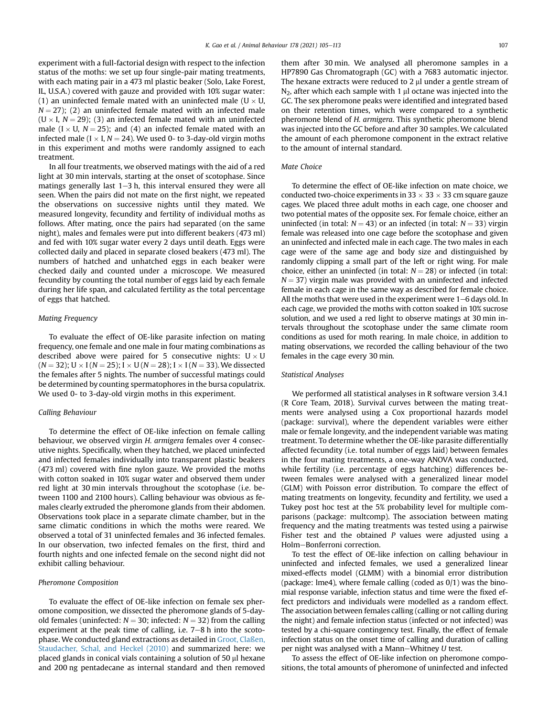experiment with a full-factorial design with respect to the infection status of the moths: we set up four single-pair mating treatments, with each mating pair in a 473 ml plastic beaker (Solo, Lake Forest, IL, U.S.A.) covered with gauze and provided with 10% sugar water: (1) an uninfected female mated with an uninfected male ( $U \times U$ ,  $N = 27$ ; (2) an uninfected female mated with an infected male  $(U \times I, N = 29)$ ; (3) an infected female mated with an uninfected male ( $I \times U$ ,  $N = 25$ ); and (4) an infected female mated with an infected male ( $I \times I$ ,  $N = 24$ ). We used 0- to 3-day-old virgin moths in this experiment and moths were randomly assigned to each treatment.

In all four treatments, we observed matings with the aid of a red light at 30 min intervals, starting at the onset of scotophase. Since matings generally last  $1-3$  h, this interval ensured they were all seen. When the pairs did not mate on the first night, we repeated the observations on successive nights until they mated. We measured longevity, fecundity and fertility of individual moths as follows. After mating, once the pairs had separated (on the same night), males and females were put into different beakers (473 ml) and fed with 10% sugar water every 2 days until death. Eggs were collected daily and placed in separate closed beakers (473 ml). The numbers of hatched and unhatched eggs in each beaker were checked daily and counted under a microscope. We measured fecundity by counting the total number of eggs laid by each female during her life span, and calculated fertility as the total percentage of eggs that hatched.

## Mating Frequency

To evaluate the effect of OE-like parasite infection on mating frequency, one female and one male in four mating combinations as described above were paired for 5 consecutive nights:  $U \times U$  $(N = 32)$ ; U  $\times$  I  $(N = 25)$ ; I  $\times$  U  $(N = 28)$ ; I  $\times$  I  $(N = 33)$ . We dissected the females after 5 nights. The number of successful matings could be determined by counting spermatophores in the bursa copulatrix. We used 0- to 3-day-old virgin moths in this experiment.

## Calling Behaviour

To determine the effect of OE-like infection on female calling behaviour, we observed virgin H. armigera females over 4 consecutive nights. Specifically, when they hatched, we placed uninfected and infected females individually into transparent plastic beakers (473 ml) covered with fine nylon gauze. We provided the moths with cotton soaked in 10% sugar water and observed them under red light at 30 min intervals throughout the scotophase (i.e. between 1100 and 2100 hours). Calling behaviour was obvious as females clearly extruded the pheromone glands from their abdomen. Observations took place in a separate climate chamber, but in the same climatic conditions in which the moths were reared. We observed a total of 31 uninfected females and 36 infected females. In our observation, two infected females on the first, third and fourth nights and one infected female on the second night did not exhibit calling behaviour.

#### Pheromone Composition

To evaluate the effect of OE-like infection on female sex pheromone composition, we dissected the pheromone glands of 5-dayold females (uninfected:  $N = 30$ ; infected:  $N = 32$ ) from the calling experiment at the peak time of calling, i.e.  $7-8$  h into the scotophase. We conducted gland extractions as detailed in [Groot, Claßen,](#page-7-40) [Staudacher, Schal, and Heckel \(2010\)](#page-7-40) and summarized here: we placed glands in conical vials containing a solution of 50  $\mu$ l hexane and 200 ng pentadecane as internal standard and then removed them after 30 min. We analysed all pheromone samples in a HP7890 Gas Chromatograph (GC) with a 7683 automatic injector. The hexane extracts were reduced to  $2 \mu l$  under a gentle stream of  $N_2$ , after which each sample with 1  $\mu$ l octane was injected into the GC. The sex pheromone peaks were identified and integrated based on their retention times, which were compared to a synthetic pheromone blend of H. armigera. This synthetic pheromone blend was injected into the GC before and after 30 samples. We calculated the amount of each pheromone component in the extract relative to the amount of internal standard.

#### Mate Choice

To determine the effect of OE-like infection on mate choice, we conducted two-choice experiments in  $33 \times 33 \times 33$  cm square gauze cages. We placed three adult moths in each cage, one chooser and two potential mates of the opposite sex. For female choice, either an uninfected (in total:  $N = 43$ ) or an infected (in total:  $N = 33$ ) virgin female was released into one cage before the scotophase and given an uninfected and infected male in each cage. The two males in each cage were of the same age and body size and distinguished by randomly clipping a small part of the left or right wing. For male choice, either an uninfected (in total:  $N = 28$ ) or infected (in total:  $N = 37$ ) virgin male was provided with an uninfected and infected female in each cage in the same way as described for female choice. All the moths that were used in the experiment were  $1-6$  days old. In each cage, we provided the moths with cotton soaked in 10% sucrose solution, and we used a red light to observe matings at 30 min intervals throughout the scotophase under the same climate room conditions as used for moth rearing. In male choice, in addition to mating observations, we recorded the calling behaviour of the two females in the cage every 30 min.

#### Statistical Analyses

We performed all statistical analyses in R software version 3.4.1 (R Core Team, 2018). Survival curves between the mating treatments were analysed using a Cox proportional hazards model (package: survival), where the dependent variables were either male or female longevity, and the independent variable was mating treatment. To determine whether the OE-like parasite differentially affected fecundity (i.e. total number of eggs laid) between females in the four mating treatments, a one-way ANOVA was conducted, while fertility (i.e. percentage of eggs hatching) differences between females were analysed with a generalized linear model (GLM) with Poisson error distribution. To compare the effect of mating treatments on longevity, fecundity and fertility, we used a Tukey post hoc test at the 5% probability level for multiple comparisons (package: multcomp). The association between mating frequency and the mating treatments was tested using a pairwise Fisher test and the obtained P values were adjusted using a Holm-Bonferroni correction.

To test the effect of OE-like infection on calling behaviour in uninfected and infected females, we used a generalized linear mixed-effects model (GLMM) with a binomial error distribution (package: lme4), where female calling (coded as 0/1) was the binomial response variable, infection status and time were the fixed effect predictors and individuals were modelled as a random effect. The association between females calling (calling or not calling during the night) and female infection status (infected or not infected) was tested by a chi-square contingency test. Finally, the effect of female infection status on the onset time of calling and duration of calling per night was analysed with a Mann-Whitney  $U$  test.

To assess the effect of OE-like infection on pheromone compositions, the total amounts of pheromone of uninfected and infected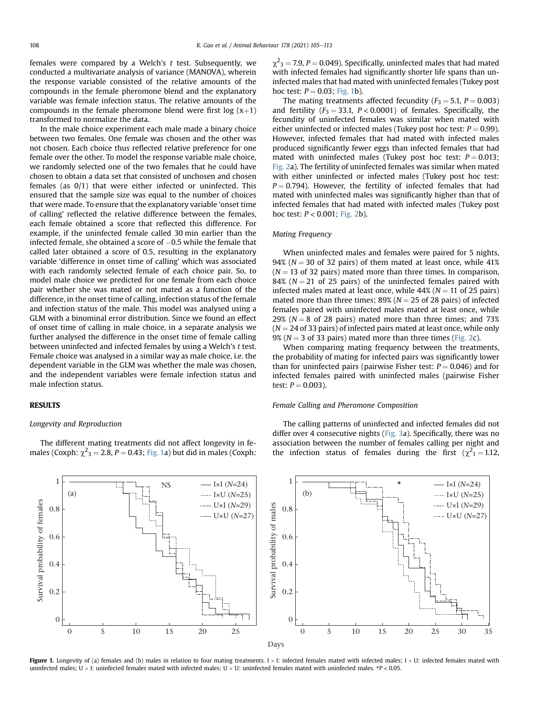females were compared by a Welch's  $t$  test. Subsequently, we conducted a multivariate analysis of variance (MANOVA), wherein the response variable consisted of the relative amounts of the compounds in the female pheromone blend and the explanatory variable was female infection status. The relative amounts of the compounds in the female pheromone blend were first log  $(x+1)$ transformed to normalize the data.

In the male choice experiment each male made a binary choice between two females. One female was chosen and the other was not chosen. Each choice thus reflected relative preference for one female over the other. To model the response variable male choice, we randomly selected one of the two females that he could have chosen to obtain a data set that consisted of unchosen and chosen females (as 0/1) that were either infected or uninfected. This ensured that the sample size was equal to the number of choices that were made. To ensure that the explanatory variable 'onset time of calling' reflected the relative difference between the females, each female obtained a score that reflected this difference. For example, if the uninfected female called 30 min earlier than the infected female, she obtained a score of  $-0.5$  while the female that called later obtained a score of 0.5, resulting in the explanatory variable 'difference in onset time of calling' which was associated with each randomly selected female of each choice pair. So, to model male choice we predicted for one female from each choice pair whether she was mated or not mated as a function of the difference, in the onset time of calling, infection status of the female and infection status of the male. This model was analysed using a GLM with a binominal error distribution. Since we found an effect of onset time of calling in male choice, in a separate analysis we further analysed the difference in the onset time of female calling between uninfected and infected females by using a Welch's t test. Female choice was analysed in a similar way as male choice, i.e. the dependent variable in the GLM was whether the male was chosen, and the independent variables were female infection status and male infection status.

## RESULTS

0

## Longevity and Reproduction

The different mating treatments did not affect longevity in females (Coxph:  $\chi^2$ <sub>3</sub> = 2.8, *P* = 0.43; [Fig. 1a](#page-3-0)) but did in males (Coxph:

0 5 10 15

 $\chi^2$ <sub>3</sub> = 7.9, P = 0.049). Specifically, uninfected males that had mated with infected females had significantly shorter life spans than uninfected males that had mated with uninfected females (Tukey post hoc test:  $P = 0.03$ ; [Fig. 1b](#page-3-0)).

The mating treatments affected fecundity ( $F_3 = 5.1$ ,  $P = 0.003$ ) and fertility  $(F_3 = 33.1, P < 0.0001)$  of females. Specifically, the fecundity of uninfected females was similar when mated with either uninfected or infected males (Tukey post hoc test:  $P = 0.99$ ). However, infected females that had mated with infected males produced significantly fewer eggs than infected females that had mated with uninfected males (Tukey post hoc test:  $P = 0.013$ ; [Fig. 2](#page-4-0)a). The fertility of uninfected females was similar when mated with either uninfected or infected males (Tukey post hoc test:  $P = 0.794$ ). However, the fertility of infected females that had mated with uninfected males was significantly higher than that of infected females that had mated with infected males (Tukey post hoc test:  $P < 0.001$ ; [Fig. 2](#page-4-0)b).

## Mating Frequency

When uninfected males and females were paired for 5 nights, 94% ( $N = 30$  of 32 pairs) of them mated at least once, while 41%  $(N = 13$  of 32 pairs) mated more than three times. In comparison, 84% ( $N = 21$  of 25 pairs) of the uninfected females paired with infected males mated at least once, while  $44\%$  ( $N = 11$  of 25 pairs) mated more than three times; 89% ( $N = 25$  of 28 pairs) of infected females paired with uninfected males mated at least once, while 29% ( $N = 8$  of 28 pairs) mated more than three times; and 73%  $(N = 24$  of 33 pairs) of infected pairs mated at least once, while only 9% ( $N = 3$  of 33 pairs) mated more than three times ([Fig. 2c](#page-4-0)).

When comparing mating frequency between the treatments, the probability of mating for infected pairs was significantly lower than for uninfected pairs (pairwise Fisher test:  $P = 0.046$ ) and for infected females paired with uninfected males (pairwise Fisher test:  $P = 0.003$ ).

#### Female Calling and Pheromone Composition

The calling patterns of uninfected and infected females did not differ over 4 consecutive nights [\(Fig. 3](#page-5-0)a). Specifically, there was no association between the number of females calling per night and the infection status of females during the first ( $\chi^2$ <sub>1</sub> = 1.12,



20 25



<span id="page-3-0"></span>1 NS I×I (*N*=24)  $(a)$ I×U (*N*=25) Survival probability of females Survival probability of females U×I (*N*=29) Survival probability of males 0.8 U×U (*N*=27) 0.6 0.4 0.2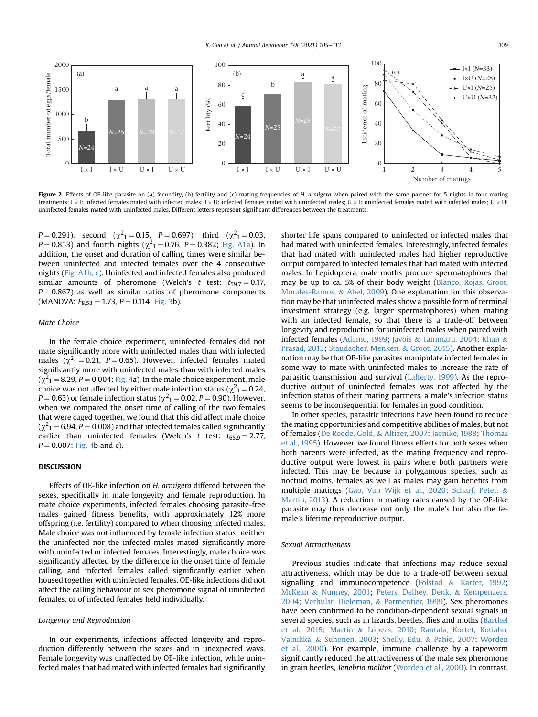<span id="page-4-0"></span>

Figure 2. Effects of OE-like parasite on (a) fecundity, (b) fertility and (c) mating frequencies of H. armigera when paired with the same partner for 5 nights in four mating treatments: I  $\times$  I: infected females mated with infected males; I  $\times$  U: infected females mated with uninfected males; U  $\times$  I: uninfected females mated with infected males; U  $\times$  U: uninfected females mated with uninfected males. Different letters represent significant differences between the treatments.

 $P = 0.291$ , second  $(\chi^2_1 = 0.15, P = 0.697)$ , third  $(\chi^2_1 = 0.03,$  $P = 0.853$ ) and fourth nights ( $\chi^2_1 = 0.76$ ,  $P = 0.382$ ; [Fig. A1a](#page-8-16)). In addition, the onset and duration of calling times were similar between uninfected and infected females over the 4 consecutive nights [\(Fig. A1b, c\)](#page-8-16). Uninfected and infected females also produced similar amounts of pheromone (Welch's t test:  $t_{59.7} = 0.17$ ,  $P = 0.867$ ) as well as similar ratios of pheromone components (MANOVA:  $F_{8,53} = 1.73$ ,  $P = 0.114$ ; [Fig. 3](#page-5-0)b).

## Mate Choice

In the female choice experiment, uninfected females did not mate significantly more with uninfected males than with infected males ( $\chi^2$ <sub>1</sub> = 0.21, *P* = 0.65). However, infected females mated significantly more with uninfected males than with infected males  $(\chi^2_{1} = 8.29, P = 0.004;$  [Fig. 4](#page-6-3)a). In the male choice experiment, male choice was not affected by either male infection status ( $\chi^2$ <sub>1</sub> = 0.24,  $P = 0.63$ ) or female infection status ( $\chi^2_{1} = 0.02$ ,  $P = 0.90$ ). However, when we compared the onset time of calling of the two females that were caged together, we found that this did affect male choice  $(\chi^2_{11} = 6.94, P = 0.008)$  and that infected females called significantly earlier than uninfected females (Welch's t test:  $t_{65.9} = 2.77$ ,  $P = 0.007$ ; [Fig. 4b](#page-6-3) and c).

# **DISCUSSION**

Effects of OE-like infection on H. armigera differed between the sexes, specifically in male longevity and female reproduction. In mate choice experiments, infected females choosing parasite-free males gained fitness benefits, with approximately 12% more offspring (i.e. fertility) compared to when choosing infected males. Male choice was not influenced by female infection status: neither the uninfected nor the infected males mated significantly more with uninfected or infected females. Interestingly, male choice was significantly affected by the difference in the onset time of female calling, and infected females called significantly earlier when housed together with uninfected females. OE-like infections did not affect the calling behaviour or sex pheromone signal of uninfected females, or of infected females held individually.

## Longevity and Reproduction

In our experiments, infections affected longevity and reproduction differently between the sexes and in unexpected ways. Female longevity was unaffected by OE-like infection, while uninfected males that had mated with infected females had significantly shorter life spans compared to uninfected or infected males that had mated with uninfected females. Interestingly, infected females that had mated with uninfected males had higher reproductive output compared to infected females that had mated with infected males. In Lepidoptera, male moths produce spermatophores that may be up to ca. 5% of their body weight [\(Blanco, Rojas, Groot,](#page-7-41) [Morales-Ramos,](#page-7-41) & [Abel, 2009\)](#page-7-41). One explanation for this observation may be that uninfected males show a possible form of terminal investment strategy (e.g. larger spermatophores) when mating with an infected female, so that there is a trade-off between longevity and reproduction for uninfected males when paired with infected females ([Adamo, 1999;](#page-6-4) [Javoi](#page-7-42)s & [Tammaru, 2004](#page-7-42); [Khan](#page-7-43) & [Prasad, 2013](#page-7-43); [Staudacher, Menken,](#page-8-17) & [Groot, 2015](#page-8-17)). Another explanation may be that OE-like parasites manipulate infected females in some way to mate with uninfected males to increase the rate of parasitic transmission and survival ([Lafferty, 1999\)](#page-7-44). As the reproductive output of uninfected females was not affected by the infection status of their mating partners, a male's infection status seems to be inconsequential for females in good condition.

In other species, parasitic infections have been found to reduce the mating opportunities and competitive abilities of males, but not of females [\(De Roode, Gold,](#page-7-45) & [Altizer, 2007;](#page-7-45) [Jaenike, 1988;](#page-7-46) [Thomas](#page-8-18) [et al., 1995](#page-8-18)). However, we found fitness effects for both sexes when both parents were infected, as the mating frequency and reproductive output were lowest in pairs where both partners were infected. This may be because in polygamous species, such as noctuid moths, females as well as males may gain benefits from multiple matings ([Gao, Van Wijk et al., 2020;](#page-7-47) [Scharf, Peter,](#page-8-19) & [Martin, 2013](#page-8-19)). A reduction in mating rates caused by the OE-like parasite may thus decrease not only the male's but also the female's lifetime reproductive output.

#### Sexual Attractiveness

Previous studies indicate that infections may reduce sexual attractiveness, which may be due to a trade-off between sexual signalling and immunocompetence [\(Folstad](#page-7-9) & [Karter, 1992;](#page-7-9) [McKean](#page-7-31) & [Nunney, 2001](#page-7-31); [Peters, Delhey, Denk,](#page-8-20) & [Kempenaers,](#page-8-20) [2004;](#page-8-20) [Verhulst, Dieleman,](#page-8-21) & [Parmentier, 1999\)](#page-8-21). Sex pheromones have been confirmed to be condition-dependent sexual signals in several species, such as in lizards, beetles, flies and moths [\(Barthel](#page-7-27) [et al., 2015;](#page-7-27) [Martín](#page-7-48) & Lópezs, 2010; [Rantala, Kortet, Kotiaho,](#page-8-22) [Vainikka,](#page-8-22) & [Suhonen, 2003](#page-8-22); [Shelly, Edu,](#page-8-23) & [Pahio, 2007;](#page-8-23) [Worden](#page-8-2) [et al., 2000](#page-8-2)). For example, immune challenge by a tapeworm significantly reduced the attractiveness of the male sex pheromone in grain beetles, Tenebrio molitor ([Worden et al., 2000](#page-8-2)). In contrast,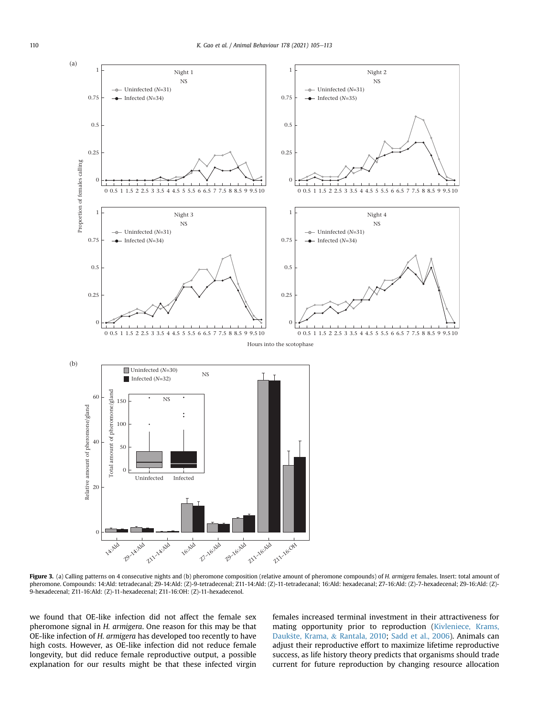<span id="page-5-0"></span>

Figure 3. (a) Calling patterns on 4 consecutive nights and (b) pheromone composition (relative amount of pheromone compounds) of H. armigera females. Insert: total amount of pheromone. Compounds: 14:Ald: tetradecanal; Z9-14:Ald: (Z)-9-tetradecenal; Z11-14:Ald: (Z)-11-tetradecanal; 16:Ald: hexadecanal; Z7-16:Ald: (Z)-7-hexadecenal; Z9-16:Ald: (Z)- 9-hexadecenal; Z11-16:Ald: (Z)-11-hexadecenal; Z11-16:OH: (Z)-11-hexadecenol.

we found that OE-like infection did not affect the female sex pheromone signal in H. armigera. One reason for this may be that OE-like infection of H. armigera has developed too recently to have high costs. However, as OE-like infection did not reduce female longevity, but did reduce female reproductive output, a possible explanation for our results might be that these infected virgin females increased terminal investment in their attractiveness for mating opportunity prior to reproduction ([Kivleniece, Krams,](#page-7-49) [Dauk](#page-7-49)[ste, Krama,](#page-7-49) & [Rantala, 2010;](#page-7-49) [Sadd et al., 2006](#page-8-24)). Animals can adjust their reproductive effort to maximize lifetime reproductive success, as life history theory predicts that organisms should trade current for future reproduction by changing resource allocation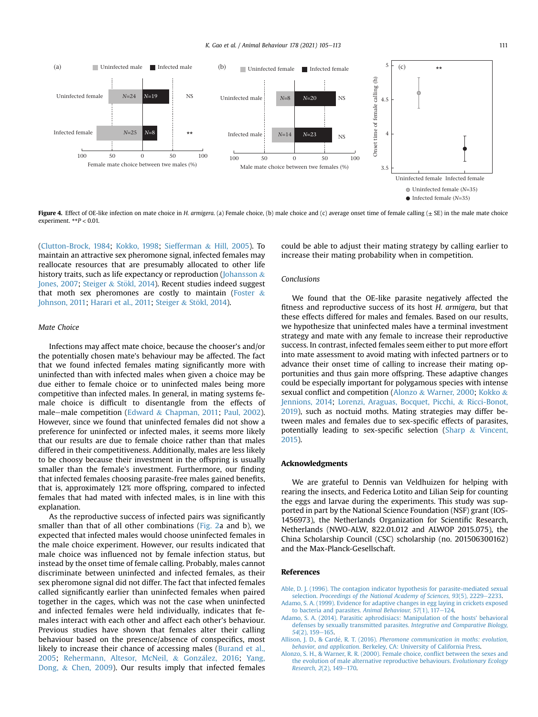<span id="page-6-3"></span>

Figure 4. Effect of OE-like infection on mate choice in H. armigera. (a) Female choice, (b) male choice and (c) average onset time of female calling (+ SE) in the male mate choice experiment.  $*P < 0.01$ .

([Clutton-Brock, 1984;](#page-7-50) [Kokko, 1998;](#page-7-51) [Siefferman](#page-8-25) & [Hill, 2005\)](#page-8-25). To maintain an attractive sex pheromone signal, infected females may reallocate resources that are presumably allocated to other life history traits, such as life expectancy or reproduction ([Johansson](#page-7-14) & [Jones, 2007](#page-7-14); [Steiger](#page-8-26) & Stökl, 2014). Recent studies indeed suggest that moth sex pheromones are costly to maintain ([Foster](#page-7-52)  $\&$ [Johnson, 2011](#page-7-52); [Harari et al., 2011](#page-7-16); [Steiger](#page-8-26) & Stökl, 2014).

## Mate Choice

Infections may affect mate choice, because the chooser's and/or the potentially chosen mate's behaviour may be affected. The fact that we found infected females mating significantly more with uninfected than with infected males when given a choice may be due either to female choice or to uninfected males being more competitive than infected males. In general, in mating systems female choice is difficult to disentangle from the effects of male-male competition [\(Edward](#page-7-53) & [Chapman, 2011](#page-7-53); [Paul, 2002\)](#page-8-27). However, since we found that uninfected females did not show a preference for uninfected or infected males, it seems more likely that our results are due to female choice rather than that males differed in their competitiveness. Additionally, males are less likely to be choosy because their investment in the offspring is usually smaller than the female's investment. Furthermore, our finding that infected females choosing parasite-free males gained benefits, that is, approximately 12% more offspring, compared to infected females that had mated with infected males, is in line with this explanation.

As the reproductive success of infected pairs was significantly smaller than that of all other combinations [\(Fig. 2](#page-4-0)a and b), we expected that infected males would choose uninfected females in the male choice experiment. However, our results indicated that male choice was influenced not by female infection status, but instead by the onset time of female calling. Probably, males cannot discriminate between uninfected and infected females, as their sex pheromone signal did not differ. The fact that infected females called significantly earlier than uninfected females when paired together in the cages, which was not the case when uninfected and infected females were held individually, indicates that females interact with each other and affect each other's behaviour. Previous studies have shown that females alter their calling behaviour based on the presence/absence of conspecifics, most likely to increase their chance of accessing males ([Burand et al.,](#page-7-18) [2005](#page-7-18); [Rehermann, Altesor, McNeil,](#page-8-28) & [Gonz](#page-8-28)á[lez, 2016](#page-8-28); [Yang,](#page-8-29) [Dong,](#page-8-29) & [Chen, 2009\)](#page-8-29). Our results imply that infected females could be able to adjust their mating strategy by calling earlier to increase their mating probability when in competition.

#### Conclusions

We found that the OE-like parasite negatively affected the fitness and reproductive success of its host H. armigera, but that these effects differed for males and females. Based on our results, we hypothesize that uninfected males have a terminal investment strategy and mate with any female to increase their reproductive success. In contrast, infected females seem either to put more effort into mate assessment to avoid mating with infected partners or to advance their onset time of calling to increase their mating opportunities and thus gain more offspring. These adaptive changes could be especially important for polygamous species with intense sexual conflict and competition ([Alonzo](#page-6-5) & [Warner, 2000;](#page-6-5) [Kokko](#page-7-54) & [Jennions, 2014;](#page-7-54) [Lorenzi, Araguas, Bocquet, Picchi,](#page-7-55) & [Ricci-Bonot,](#page-7-55) [2019\)](#page-7-55), such as noctuid moths. Mating strategies may differ between males and females due to sex-specific effects of parasites, potentially leading to sex-specific selection [\(Sharp](#page-8-30) & [Vincent,](#page-8-30) [2015\)](#page-8-30).

#### Acknowledgments

We are grateful to Dennis van Veldhuizen for helping with rearing the insects, and Federica Lotito and Lilian Seip for counting the eggs and larvae during the experiments. This study was supported in part by the National Science Foundation (NSF) grant (IOS-1456973), the Netherlands Organization for Scientific Research, Netherlands (NWO-ALW, 822.01.012 and ALWOP 2015.075), the China Scholarship Council (CSC) scholarship (no. 201506300162) and the Max-Planck-Gesellschaft.

#### <span id="page-6-0"></span>References

<span id="page-6-4"></span>[Able, D. J. \(1996\). The contagion indicator hypothesis for parasite-mediated sexual](http://refhub.elsevier.com/S0003-3472(21)00174-3/sref1) selection. [Proceedings of the National Academy of Sciences, 93](http://refhub.elsevier.com/S0003-3472(21)00174-3/sref1)(5), 2229-[2233.](http://refhub.elsevier.com/S0003-3472(21)00174-3/sref1)

- <span id="page-6-1"></span>[Adamo, S. A. \(1999\). Evidence for adaptive changes in egg laying in crickets exposed](http://refhub.elsevier.com/S0003-3472(21)00174-3/sref2) [to bacteria and parasites.](http://refhub.elsevier.com/S0003-3472(21)00174-3/sref2) Animal Behaviour,  $57(1)$ ,  $117-124$ .
- <span id="page-6-2"></span>[Adamo, S. A. \(2014\). Parasitic aphrodisiacs: Manipulation of the hosts' behavioral](http://refhub.elsevier.com/S0003-3472(21)00174-3/sref3) [defenses by sexually transmitted parasites.](http://refhub.elsevier.com/S0003-3472(21)00174-3/sref3) Integrative and Comparative Biology, 54[\(2\), 159](http://refhub.elsevier.com/S0003-3472(21)00174-3/sref3)-[165](http://refhub.elsevier.com/S0003-3472(21)00174-3/sref3).
- <span id="page-6-5"></span>[Allison, J. D., & Carde](http://refhub.elsevier.com/S0003-3472(21)00174-3/sref4), R. T. (2016). [Pheromone communication in moths: evolution,](http://refhub.elsevier.com/S0003-3472(21)00174-3/sref4) behavior, and application[. Berkeley, CA: University of California Press.](http://refhub.elsevier.com/S0003-3472(21)00174-3/sref4)
- [Alonzo, S. H., & Warner, R. R. \(2000\). Female choice, con](http://refhub.elsevier.com/S0003-3472(21)00174-3/sref5)flict between the sexes and [the evolution of male alternative reproductive behaviours.](http://refhub.elsevier.com/S0003-3472(21)00174-3/sref5) Evolutionary Ecology [Research, 2](http://refhub.elsevier.com/S0003-3472(21)00174-3/sref5)(2), 149-[170.](http://refhub.elsevier.com/S0003-3472(21)00174-3/sref5)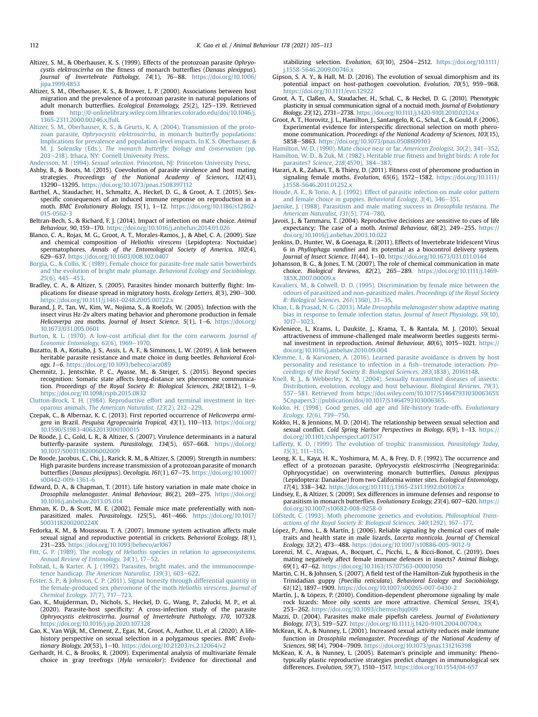- <span id="page-7-36"></span>Altizer, S. M., & Oberhauser, K. S. (1999). Effects of the protozoan parasite Ophryocystis elektroscirrha on the fitness of monarch butterflies (Danaus plexippus). Journal of Invertebrate Pathology, 74(1), 76-88. [https://doi.org/10.1006/](https://doi.org/10.1006/jipa.1999.4853) [jipa.1999.4853](https://doi.org/10.1006/jipa.1999.4853)
- <span id="page-7-32"></span>Altizer, S. M., Oberhauser, K. S., & Brower, L. P. (2000). Associations between host migration and the prevalence of a protozoan parasite in natural populations of adult monarch butterflies. Ecological Entomology, 25(2), 125-139. Retrieved from [http://0-onlinelibrary.wiley.com.libraries.colorado.edu/doi/10.1046/j.](http://0-onlinelibrary.wiley.com.libraries.colorado.edu/doi/10.1046/j.1365-2311.2000.00246.x/full) [1365-2311.2000.00246.x/full](http://0-onlinelibrary.wiley.com.libraries.colorado.edu/doi/10.1046/j.1365-2311.2000.00246.x/full).
- <span id="page-7-34"></span>[Altizer, S. M., Oberhauser, K. S., & Geurts, K. A. \(2004\). Transmission of the proto](http://refhub.elsevier.com/S0003-3472(21)00174-3/sref8)zoan parasite, [Ophryocystis elektroscirrha](http://refhub.elsevier.com/S0003-3472(21)00174-3/sref8), in monarch butterfly populations: [Implications for prevalence and population-level impacts. In K. S. Oberhauser, &](http://refhub.elsevier.com/S0003-3472(21)00174-3/sref8) M. J. Solensky (Eds.), The monarch butterfl[y: biology and conservation](http://refhub.elsevier.com/S0003-3472(21)00174-3/sref8) (pp. [203](http://refhub.elsevier.com/S0003-3472(21)00174-3/sref8)-[218\). Ithaca, NY: Cornell University Press.](http://refhub.elsevier.com/S0003-3472(21)00174-3/sref8)
- <span id="page-7-11"></span><span id="page-7-0"></span>Andersson, M. (1994). Sexual selection[. Princeton, NJ: Princeton University Press.](http://refhub.elsevier.com/S0003-3472(21)00174-3/sref9) Ashby, B., & Boots, M. (2015). Coevolution of parasite virulence and host mating strategies. *Proceedings of the National Academy of Sciences, 112*(43),<br>13290–13295.<https://doi.org/10.1073/pnas.1508397112>
- <span id="page-7-27"></span>Barthel, A., Staudacher, H., Schmaltz, A., Heckel, D. G., & Groot, A. T. (2015). Sexspecific consequences of an induced immune response on reproduction in a moth. BMC Evolutionary Biology, 15(1), 1-12. [https://doi.org/10.1186/s12862-](https://doi.org/10.1186/s12862-015-0562-3) [015-0562-3](https://doi.org/10.1186/s12862-015-0562-3)
- <span id="page-7-15"></span>Beltran-Bech, S., & Richard, F. J. (2014). Impact of infection on mate choice. Animal Behaviour, 90, 159-170. <https://doi.org/10.1016/j.anbehav.2014.01.026>
- <span id="page-7-41"></span>Blanco, C. A., Rojas, M. G., Groot, A. T., Morales-Ramos, J., & Abel, C. A. (2009). Size and chemical composition of Heliothis virescens (Lepidoptera: Noctuidae) spermatophores. Annals of the Entomological Society of America, 102(4), 629e637. <https://doi.org/10.1603/008.102.0407>
- <span id="page-7-2"></span>[Borgia, G., & Collis, K. \(1989\). Female choice for parasite-free male satin bowerbirds](http://refhub.elsevier.com/S0003-3472(21)00174-3/sref14) [and the evolution of bright male plumage.](http://refhub.elsevier.com/S0003-3472(21)00174-3/sref14) Behavioral Ecology and Sociobiology,  $25(6)$ , 445-[453](http://refhub.elsevier.com/S0003-3472(21)00174-3/sref14).
- <span id="page-7-37"></span>Bradley, C. A., & Altizer, S. (2005). Parasites hinder monarch butterfly flight: Implications for disease spread in migratory hosts. Ecology Letters,  $8(3)$ ,  $290-300$ . <https://doi.org/10.1111/j.1461-0248.2005.00722.x>
- <span id="page-7-18"></span>Burand, J. P., Tan, W., Kim, W., Nojima, S., & Roelofs, W. (2005). Infection with the insect virus Hz-2v alters mating behavior and pheromone production in female Helicoverpa zea moths. Journal of Insect Science, 5(1), 1-6. [https://doi.org/](https://doi.org/10.1673/031.005.0601) [10.1673/031.005.0601](https://doi.org/10.1673/031.005.0601)
- <span id="page-7-39"></span>[Burton, R. L. \(1970\). A low-cost arti](http://refhub.elsevier.com/S0003-3472(21)00174-3/sref17)ficial diet for the corn earworm. Journal of [Economic Entomology, 63](http://refhub.elsevier.com/S0003-3472(21)00174-3/sref17)(6), 1969-[1970.](http://refhub.elsevier.com/S0003-3472(21)00174-3/sref17)
- <span id="page-7-12"></span>Buzatto, B. A., Kotiaho, J. S., Assis, L. A. F., & Simmons, L. W. (2019). A link between heritable parasite resistance and mate choice in dung beetles. Behavioral Ecology, 1-6. <https://doi.org/10.1093/beheco/arz089>
- <span id="page-7-26"></span>Chemnitz, J., Jentschke, P. C., Ayasse, M., & Steiger, S. (2015). Beyond species recognition: Somatic state affects long-distance sex pheromone communication. Proceedings of the Royal Society B: Biological Sciences, 282(1812), 1-9. <https://doi.org/10.1098/rspb.2015.0832>
- <span id="page-7-50"></span>[Clutton-Brock, T. H. \(1984\). Reproductive effort and terminal investment in iter-](http://refhub.elsevier.com/S0003-3472(21)00174-3/sref20)oparous animals. [The American Naturalist, 123](http://refhub.elsevier.com/S0003-3472(21)00174-3/sref20)(2), 212-[229](http://refhub.elsevier.com/S0003-3472(21)00174-3/sref20).
- <span id="page-7-21"></span>Czepak, C., & Albernaz, K. C. (2013). First reported occurrence of Helicoverpa armigera in Brazil. Pesquisa Agropecuária Tropical, 43(1), 110-113. [https://doi.org/](https://doi.org/10.1590/S1983-40632013000100015) [10.1590/S1983-40632013000100015](https://doi.org/10.1590/S1983-40632013000100015)
- <span id="page-7-45"></span>De Roode, J. C., Gold, L. R., & Altizer, S. (2007). Virulence determinants in a natural butterfly-parasite system. Parasitology, 134(5), 657-668. [https://doi.org/](https://doi.org/10.1017/S0031182006002009) [10.1017/S0031182006002009](https://doi.org/10.1017/S0031182006002009)
- <span id="page-7-35"></span>De Roode, Jacobus, C., Chi, J., Rarick, R. M., & Altizer, S. (2009). Strength in numbers: High parasite burdens increase transmission of a protozoan parasite of monarch butterflies (Danaus plexippus). Oecologia, 161(1), 67-75. [https://doi.org/10.1007/](https://doi.org/10.1007/s00442-009-1361-6) [s00442-009-1361-6](https://doi.org/10.1007/s00442-009-1361-6)
- <span id="page-7-53"></span>Edward, D. A., & Chapman, T. (2011). Life history variation in male mate choice in Drosophila melanogaster. Animal Behaviour, 86(2), 269-275. [https://doi.org/](https://doi.org/10.1016/j.anbehav.2013.05.014) [10.1016/j.anbehav.2013.05.014](https://doi.org/10.1016/j.anbehav.2013.05.014)
- <span id="page-7-8"></span>Ehman, K. D., & Scott, M. E. (2002). Female mice mate preferentially with nonparasitized males. Parasitology, 125(5), 461-466. [https://doi.org/10.1017/](https://doi.org/10.1017/S003118200200224X) [S003118200200224X](https://doi.org/10.1017/S003118200200224X)
- <span id="page-7-19"></span>Fedorka, K. M., & Mousseau, T. A. (2007). Immune system activation affects male sexual signal and reproductive potential in crickets. Behavioral Ecology, 18(1), 231-235. <https://doi.org/10.1093/beheco/arl067>
- <span id="page-7-22"></span>Fitt, G. P. (1989). The ecology of Heliothis [species in relation to agroecosystems.](http://refhub.elsevier.com/S0003-3472(21)00174-3/sref27) [Annual Review of Entomology, 34](http://refhub.elsevier.com/S0003-3472(21)00174-3/sref27)(1), 17-[52.](http://refhub.elsevier.com/S0003-3472(21)00174-3/sref27)
- <span id="page-7-9"></span>[Folstad, I., & Karter, A. J. \(1992\). Parasites, bright males, and the immunocompe-](http://refhub.elsevier.com/S0003-3472(21)00174-3/sref28)tence handicap. [The American Naturalist, 139](http://refhub.elsevier.com/S0003-3472(21)00174-3/sref28)(3), 603-[622.](http://refhub.elsevier.com/S0003-3472(21)00174-3/sref28)
- <span id="page-7-52"></span>[Foster, S. P., & Johnson, C. P. \(2011\). Signal honesty through differential quantity in](http://refhub.elsevier.com/S0003-3472(21)00174-3/sref29) [the female-produced sex pheromone of the moth](http://refhub.elsevier.com/S0003-3472(21)00174-3/sref29) Heliothis virescens. Journal of [Chemical Ecology, 37](http://refhub.elsevier.com/S0003-3472(21)00174-3/sref29)(7),  $717-723$  $717-723$ .
- <span id="page-7-38"></span>Gao, K., Muijderman, D., Nichols, S., Heckel, D. G., Wang, P., Zalucki, M. P., et al. (2020). Parasite-host specificity: A cross-infection study of the parasite Ophryocystis elektroscirrha. Journal of Invertebrate Pathology, 170, 107328. <https://doi.org/10.1016/j.jip.2020.107328>
- <span id="page-7-47"></span>Gao, K., Van Wijk, M., Clement, Z., Egas, M., Groot, A., Author, U., et al. (2020). A lifehistory perspective on sexual selection in a polygamous species. BMC Evolutionary Biology, 20(53), 1-10. <https://doi.org/10.21203/rs.2.12064/v2>
- <span id="page-7-23"></span>Gerhardt, H. C., & Brooks, R. (2009). Experimental analysis of multivariate female choice in gray treefrogs (Hyla versicolor): Evidence for directional and

stabilizing selection. Evolution,  $63(10)$ ,  $2504-2512$ . [https://doi.org/10.1111/](https://doi.org/10.1111/j.1558-5646.2009.00746.x) [j.1558-5646.2009.00746.x](https://doi.org/10.1111/j.1558-5646.2009.00746.x)

- <span id="page-7-28"></span>Gipson, S. A. Y., & Hall, M. D. (2016). The evolution of sexual dimorphism and its potential impact on host-pathogen coevolution. Evolution, 70(5), 959-968. <https://doi.org/10.1111/evo.12922>
- <span id="page-7-40"></span>Groot, A. T., Claßen, A., Staudacher, H., Schal, C., & Heckel, D. G. (2010). Phenotypic plasticity in sexual communication signal of a noctuid moth. Journal of Evolutionary Biology, 23(12), 2731-2738. <https://doi.org/10.1111/j.1420-9101.2010.02124.x>
- <span id="page-7-24"></span>Groot, A. T., Horovitz, J. L., Hamilton, J., Santangelo, R. G., Schal, C., & Gould, F. (2006). Experimental evidence for interspecific directional selection on moth pheromone communication. Proceedings of the National Academy of Sciences, 103(15), 5858e5863. <https://doi.org/10.1073/pnas.0508609103>
- <span id="page-7-13"></span><span id="page-7-1"></span>[Hamilton, W. D. \(1990\). Mate choice near or far.](http://refhub.elsevier.com/S0003-3472(21)00174-3/sref36) American Zoologist, 30(2), 341–[352](http://refhub.elsevier.com/S0003-3472(21)00174-3/sref36). [Hamilton, W. D., & Zuk, M. \(1982\). Heritable true](http://refhub.elsevier.com/S0003-3472(21)00174-3/sref37) fitness and bright birds: A role for parasites? [Science, 218](http://refhub.elsevier.com/S0003-3472(21)00174-3/sref37)(4570), 384-[387.](http://refhub.elsevier.com/S0003-3472(21)00174-3/sref37)
- <span id="page-7-16"></span>Harari, A. R., Zahavi, T., & Thiery, D. (2011). Fitness cost of pheromone production in signaling female moths. Evolution,  $65(6)$ , 1572-1582. [https://doi.org/10.1111/](https://doi.org/10.1111/j.1558-5646.2011.01252.x) [j.1558-5646.2011.01252.x](https://doi.org/10.1111/j.1558-5646.2011.01252.x)
- <span id="page-7-3"></span>[Houde, A. E., & Torio, A. J. \(1992\). Effect of parasitic infection on male color pattern](http://refhub.elsevier.com/S0003-3472(21)00174-3/sref39) [and female choice in guppies.](http://refhub.elsevier.com/S0003-3472(21)00174-3/sref39) Behavioral Ecology, 3(4), 346-[351.](http://refhub.elsevier.com/S0003-3472(21)00174-3/sref39)
- <span id="page-7-46"></span>[Jaenike, J. \(1988\). Parasitism and male mating success in](http://refhub.elsevier.com/S0003-3472(21)00174-3/sref40) Drosophila testacea. The [American Naturalist, 131](http://refhub.elsevier.com/S0003-3472(21)00174-3/sref40)(5), 774-[780](http://refhub.elsevier.com/S0003-3472(21)00174-3/sref40).
- <span id="page-7-42"></span>Javoiš, J., & Tammaru, T. (2004). Reproductive decisions are sensitive to cues of life expectancy: The case of a moth. Animal Behaviour,  $68(2)$ ,  $249-255$ . [https://](https://doi.org/10.1016/j.anbehav.2003.10.022) [doi.org/10.1016/j.anbehav.2003.10.022](https://doi.org/10.1016/j.anbehav.2003.10.022)
- <span id="page-7-20"></span>Jenkins, D., Hunter, W., & Goenaga, R. (2011). Effects of Invertebrate Iridescent Virus 6 in Phyllophaga vandinei and its potential as a biocontrol delivery system. Journal of Insect Science, 11(44), 1-10. <https://doi.org/10.1673/031.011.0144>
- <span id="page-7-14"></span>Johansson, B. G., & Jones, T. M. (2007). The role of chemical communication in mate choice. Biological Reviews, 82(2), 265-289. [https://doi.org/10.1111/j.1469-](https://doi.org/10.1111/j.1469-185X.2007.00009.x) [185X.2007.00009.x](https://doi.org/10.1111/j.1469-185X.2007.00009.x)
- <span id="page-7-4"></span>[Kavaliers, M., & Colwell, D. D. \(1995\). Discrimination by female mice between the](http://refhub.elsevier.com/S0003-3472(21)00174-3/sref44) [odours of parasitized and non-parasitized males.](http://refhub.elsevier.com/S0003-3472(21)00174-3/sref44) Proceedings of the Royal Society [B: Biological Sciences, 261](http://refhub.elsevier.com/S0003-3472(21)00174-3/sref44)(1360), 31-[35](http://refhub.elsevier.com/S0003-3472(21)00174-3/sref44).
- <span id="page-7-43"></span>[Khan, I., & Prasad, N. G. \(2013\). Male](http://refhub.elsevier.com/S0003-3472(21)00174-3/sref45) Drosophila melanogaster show adaptive mating [bias in response to female infection status.](http://refhub.elsevier.com/S0003-3472(21)00174-3/sref45) Journal of Insect Physiology, 59(10), [1017](http://refhub.elsevier.com/S0003-3472(21)00174-3/sref45)-[1023](http://refhub.elsevier.com/S0003-3472(21)00174-3/sref45)
- <span id="page-7-49"></span>Kivleniece, I., Krams, I., Daukste, J., Krama, T., & Rantala, M. J. (2010). Sexual attractiveness of immune-challenged male mealworm beetles suggests terminal investment in reproduction. Animal Behaviour, 80(6), 1015-1021. [https://](https://doi.org/10.1016/j.anbehav.2010.09.004) [doi.org/10.1016/j.anbehav.2010.09.004](https://doi.org/10.1016/j.anbehav.2010.09.004)
- <span id="page-7-5"></span>[Klemme, I., & Karvonen, A. \(2016\). Learned parasite avoidance is driven by host](http://refhub.elsevier.com/S0003-3472(21)00174-3/sref47) [personality and resistance to infection in a](http://refhub.elsevier.com/S0003-3472(21)00174-3/sref47) fish-[trematode interaction.](http://refhub.elsevier.com/S0003-3472(21)00174-3/sref47) Pro[ceedings of the Royal Society B: Biological Sciences, 283](http://refhub.elsevier.com/S0003-3472(21)00174-3/sref47)(1838), 20161148.
- <span id="page-7-10"></span>[Knell, R. J., & Webberley, K. M. \(2004\). Sexually transmitted diseases of insects:](http://refhub.elsevier.com/S0003-3472(21)00174-3/sref48) [Distribution, evolution, ecology and host behaviour.](http://refhub.elsevier.com/S0003-3472(21)00174-3/sref48) Biological Reviews, 79(3), [557](http://refhub.elsevier.com/S0003-3472(21)00174-3/sref48)-[581. Retrieved from https://doi.wiley.com/10.1017/S1464793103006365%](http://refhub.elsevier.com/S0003-3472(21)00174-3/sref48) [5Cnpapers3://publication/doi/10.1017/S1464793103006365](http://refhub.elsevier.com/S0003-3472(21)00174-3/sref48).
- <span id="page-7-51"></span>[Kokko, H. \(1998\). Good genes, old age and life-history trade-offs.](http://refhub.elsevier.com/S0003-3472(21)00174-3/sref49) Evolutionary [Ecology, 12](http://refhub.elsevier.com/S0003-3472(21)00174-3/sref49)(6), 739-[750.](http://refhub.elsevier.com/S0003-3472(21)00174-3/sref49)
- <span id="page-7-54"></span>Kokko, H., & Jennions, M. D. (2014). The relationship between sexual selection and sexual conflict. Cold Spring Harbor Perspectives in Biology, 6(9), 1-13. [https://](https://doi.org/10.1101/cshperspect.a017517) [doi.org/10.1101/cshperspect.a017517](https://doi.org/10.1101/cshperspect.a017517)
- <span id="page-7-44"></span>[Lafferty, K. D. \(1999\). The evolution of trophic transmission.](http://refhub.elsevier.com/S0003-3472(21)00174-3/sref51) Parasitology Today,  $15(3)$ ,  $111-115$  $111-115$ .
- <span id="page-7-33"></span>Leong, K. L., Kaya, H. K., Yoshimura, M. A., & Frey, D. F. (1992). The occurrence and effect of a protozoan parasite, Ophryocystis elektroscirrha (Neogregarinida: Ophryocystidae) on overwintering monarch butterflies, Danaus plexippus (Lepidoptera: Danaidae) from two California winter sites. Ecological Entomology, 17(4), 338-342. <https://doi.org/10.1111/j.1365-2311.1992.tb01067.x>
- <span id="page-7-29"></span>Lindsey, E., & Altizer, S. (2009). Sex differences in immune defenses and response to parasitism in monarch butterflies. Evolutionary Ecology, 23(4), 607-620. [https://](https://doi.org/10.1007/s10682-008-9258-0) [doi.org/10.1007/s10682-008-9258-0](https://doi.org/10.1007/s10682-008-9258-0)
- <span id="page-7-25"></span>[L](http://refhub.elsevier.com/S0003-3472(21)00174-3/sref54)ö[fstedt, C. \(1993\). Moth pheromone genetics and evolution.](http://refhub.elsevier.com/S0003-3472(21)00174-3/sref54) Philosophical Trans[actions of the Royal Society B: Biological Sciences, 340](http://refhub.elsevier.com/S0003-3472(21)00174-3/sref54)(1292), 167-[177.](http://refhub.elsevier.com/S0003-3472(21)00174-3/sref54)
- <span id="page-7-17"></span>López, P., Amo, L., & Martín, J. (2006). Reliable signaling by chemical cues of male traits and health state in male lizards, Lacerta monticola. Journal of Chemical Ecology, 32(2), 473-488. <https://doi.org/10.1007/s10886-005-9012-9>
- <span id="page-7-55"></span>Lorenzi, M. C., Araguas, A., Bocquet, C., Picchi, L., & Ricci-Bonot, C. (2019). Does mating negatively affect female immune defences in insects? Animal Biology, 69(1), 47-62. <https://doi.org/10.1163/15707563-00001050>
- <span id="page-7-6"></span>Martin, C. H., & Johnsen, S. (2007). A field test of the Hamilton-Zuk hypothesis in the Trinidadian guppy (Poecilia reticulata). Behavioral Ecology and Sociobiology, 61(12), 1897-1909. <https://doi.org/10.1007/s00265-007-0430-2>
- <span id="page-7-48"></span>Martín, J., & Lópezs, P. (2010). Condition-dependent pheromone signaling by male rock lizards: More oily scents are more attractive. Chemical Senses, 35(4), 253e262. <https://doi.org/10.1093/chemse/bjq009>
- <span id="page-7-7"></span>Mazzi, D. (2004). Parasites make male pipefish careless. Journal of Evolutionary Biology, 17(3), 519-527. <https://doi.org/10.1111/j.1420-9101.2004.00704.x>
- <span id="page-7-31"></span>McKean, K. A., & Nunney, L. (2001). Increased sexual activity reduces male immune function in Drosophila melanogaster. Proceedings of the National Academy of Sciences, 98(14), 7904-7909. <https://doi.org/10.1073/pnas.131216398>
- <span id="page-7-30"></span>McKean, K. A., & Nunney, L. (2005). Bateman's principle and immunity: Phenotypically plastic reproductive strategies predict changes in immunological sex differences. Evolution, 59(7), 1510-1517. <https://doi.org/10.1554/04-657>